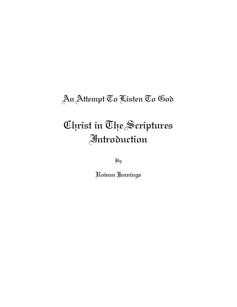## An Attempt To Listen To God

# Christ in The Scriptures Introduction

By

Rowan Jennings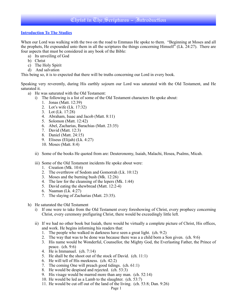#### **Introduction To The Studies**

When our Lord was walking with the two on the road to Emmaus He spoke to them. "Beginning at Moses and all the prophets, He expounded unto them in all the scriptures the things concerning Himself" (Lk. 24:27). There are four aspects that must be considered in any book of the Bible:

- a) Its unveiling of God
- b) Christ
- c) The Holy Spirit
- d) And salvation

This being so, it is to expected that there will be truths concerning our Lord in every book.

Speaking very reverently, during His earthly sojourn our Lord was saturated with the Old Testament, and He saturated it.

- a) He was saturated with the Old Testament:
	- i) The following is a list of some of the Old Testament characters He spoke about:
		- 1. Jonas (Matt. 12:39)
		- 2. Lot's wife (Lk. 17:32)
		- 3. Lot (Lk. 17:28)
		- 4. Abraham, Isaac and Jacob (Matt. 8:11)
		- 5. Solomon (Matt. 12:42)
		- 6. Abel, Zacharias, Barachias (Matt. 23:35)
		- 7. David (Matt. 12:3)
		- 8. Daniel (Matt. 24:15)
		- 9. Eliseus (Elijah) (Lk. 4:27)
		- 10. Moses (Matt. 8:4)
	- ii) Some of the books He quoted from are: Deuteronomy, Isaiah, Malachi, Hosea, Psalms, Micah.
	- iii) Some of the Old Testament incidents He spoke about were:
		- 1. Creation (Mk. 10:6)
		- 2. The overthrow of Sodom and Gomorrah (Lk. 10:12)
		- 3. Moses and the burning bush (Mk. 12:26)
		- 4. The law for the cleansing of the lepers (Mk. 1:44)
		- 5. David eating the shewbread (Matt. 12:2-4)
		- 6. Naaman (Lk. 4:27)
		- 7. The slaying of Zacharias (Matt. 23:35).
- h) He saturated the Old Testament
	- i) If one were to take from the Old Testament every foreshowing of Christ, every prophecy concerning Christ, every ceremony prefiguring Christ, there would be exceedingly little left.
	- ii) If we had no other book but Isaiah, there would be virtually a complete picture of Christ, His offices, and work. He begins informing his readers that:
		- 1. The people who walked in darkness have seen a great light. (ch. 9:2)
		- 2. The way that was to be done was because there was a a child born a Son given. (ch. 9:6)
		- 3. His name would be Wonderful, Counsellor, the Mighty God, the Everlasting Father, the Prince of peace. (ch. 9:6)
		- 4. He is Immanuel. (ch. 7:14)
		- 5. He shall be the shoot out of the stock of David. (ch. 11:1)
		- 6. He will tell of His meekness. (ch. 42:2)
		- 7. The coming One will preach good tidings. (ch. 61:1)
		- 8. He would be despised and rejected. (ch. 53:3)
		- 9. His visage would be marred more than any man. (ch. 52:14)
		- 10. He would be led as a Lamb to the slaughter. (ch. 53:7)
		- 11. He would be cut off out of the land of the living. (ch. 53:8; Dan. 9:26)